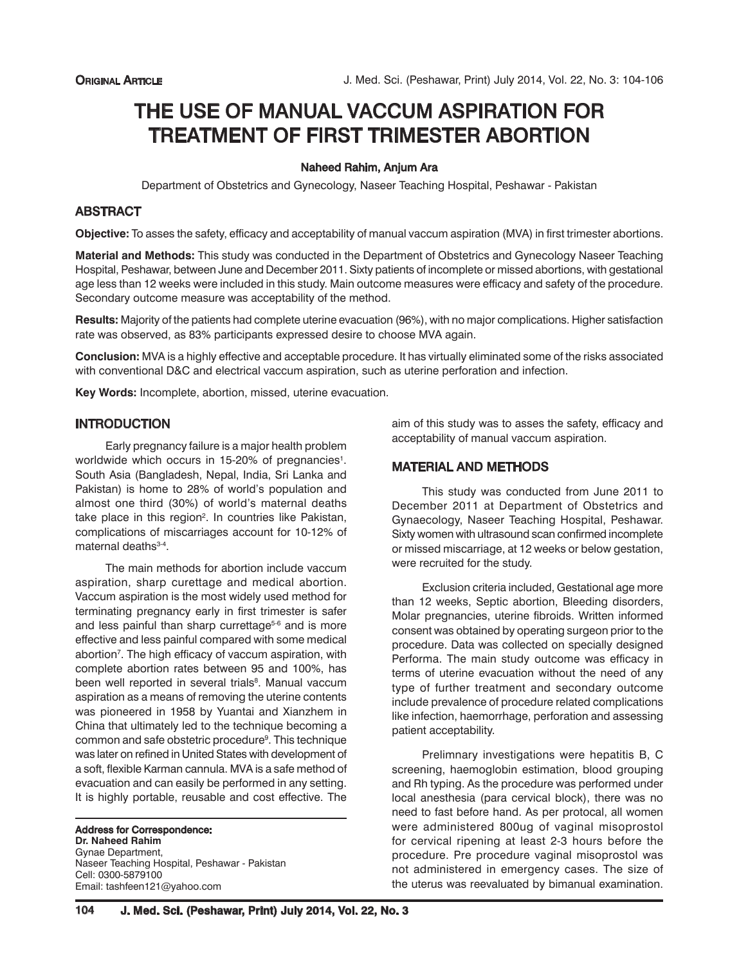# THE USE OF MANUAL VACCUM ASPIRATION FOR TREATMENT OF FIRST TRIMESTER ABORTION

## Naheed Rahim, Anjum Ara

Department of Obstetrics and Gynecology, Naseer Teaching Hospital, Peshawar - Pakistan

# **ABSTRACT**

**Objective:** To asses the safety, efficacy and acceptability of manual vaccum aspiration (MVA) in first trimester abortions.

**Material and Methods:** This study was conducted in the Department of Obstetrics and Gynecology Naseer Teaching Hospital, Peshawar, between June and December 2011. Sixty patients of incomplete or missed abortions, with gestational age less than 12 weeks were included in this study. Main outcome measures were efficacy and safety of the procedure. Secondary outcome measure was acceptability of the method.

**Results:** Majority of the patients had complete uterine evacuation (96%), with no major complications. Higher satisfaction rate was observed, as 83% participants expressed desire to choose MVA again.

**Conclusion:** MVA is a highly effective and acceptable procedure. It has virtually eliminated some of the risks associated with conventional D&C and electrical vaccum aspiration, such as uterine perforation and infection.

**Key Words:** Incomplete, abortion, missed, uterine evacuation.

# **INTRODUCTION**

Early pregnancy failure is a major health problem worldwide which occurs in 15-20% of pregnancies<sup>1</sup>. South Asia (Bangladesh, Nepal, India, Sri Lanka and Pakistan) is home to 28% of world's population and almost one third (30%) of world's maternal deaths take place in this region<sup>2</sup>. In countries like Pakistan, complications of miscarriages account for 10-12% of maternal deaths<sup>3-4</sup>.

The main methods for abortion include vaccum aspiration, sharp curettage and medical abortion. Vaccum aspiration is the most widely used method for terminating pregnancy early in first trimester is safer and less painful than sharp currettage<sup>5-6</sup> and is more effective and less painful compared with some medical abortion<sup>7</sup>. The high efficacy of vaccum aspiration, with complete abortion rates between 95 and 100%, has been well reported in several trials<sup>8</sup>. Manual vaccum aspiration as a means of removing the uterine contents was pioneered in 1958 by Yuantai and Xianzhem in China that ultimately led to the technique becoming a common and safe obstetric procedure<sup>9</sup>. This technique was later on refined in United States with development of a soft, flexible Karman cannula. MVA is a safe method of evacuation and can easily be performed in any setting. It is highly portable, reusable and cost effective. The

Address for Correspondence: **Dr. Naheed Rahim** Gynae Department, Naseer Teaching Hospital, Peshawar - Pakistan Cell: 0300-5879100 Email: tashfeen121@yahoo.com

aim of this study was to asses the safety, efficacy and acceptability of manual vaccum aspiration.

## MATERIAL AND METHODS

This study was conducted from June 2011 to December 2011 at Department of Obstetrics and Gynaecology, Naseer Teaching Hospital, Peshawar. Sixty women with ultrasound scan confirmed incomplete or missed miscarriage, at 12 weeks or below gestation, were recruited for the study.

Exclusion criteria included, Gestational age more than 12 weeks, Septic abortion, Bleeding disorders, Molar pregnancies, uterine fibroids. Written informed consent was obtained by operating surgeon prior to the procedure. Data was collected on specially designed Performa. The main study outcome was efficacy in terms of uterine evacuation without the need of any type of further treatment and secondary outcome include prevalence of procedure related complications like infection, haemorrhage, perforation and assessing patient acceptability.

Prelimnary investigations were hepatitis B, C screening, haemoglobin estimation, blood grouping and Rh typing. As the procedure was performed under local anesthesia (para cervical block), there was no need to fast before hand. As per protocal, all women were administered 800ug of vaginal misoprostol for cervical ripening at least 2-3 hours before the procedure. Pre procedure vaginal misoprostol was not administered in emergency cases. The size of the uterus was reevaluated by bimanual examination.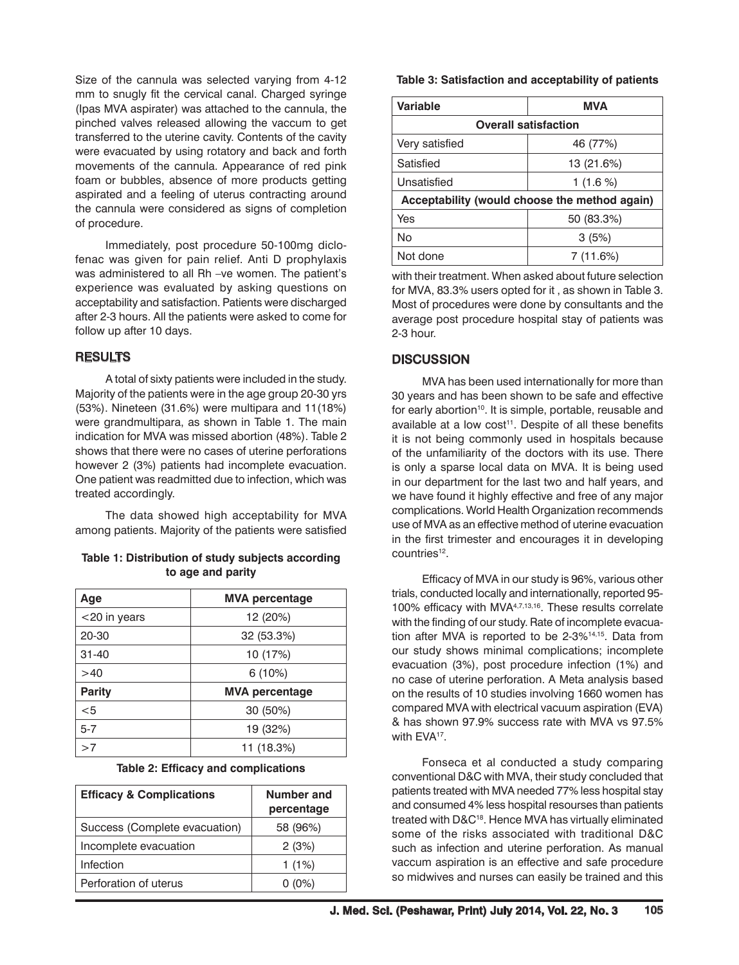Size of the cannula was selected varying from 4-12 mm to snugly fit the cervical canal. Charged syringe (Ipas MVA aspirater) was attached to the cannula, the pinched valves released allowing the vaccum to get transferred to the uterine cavity. Contents of the cavity were evacuated by using rotatory and back and forth movements of the cannula. Appearance of red pink foam or bubbles, absence of more products getting aspirated and a feeling of uterus contracting around the cannula were considered as signs of completion of procedure.

Immediately, post procedure 50-100mg diclofenac was given for pain relief. Anti D prophylaxis was administered to all Rh –ve women. The patient's experience was evaluated by asking questions on acceptability and satisfaction. Patients were discharged after 2-3 hours. All the patients were asked to come for follow up after 10 days.

## RESULTS

A total of sixty patients were included in the study. Majority of the patients were in the age group 20-30 yrs (53%). Nineteen (31.6%) were multipara and 11(18%) were grandmultipara, as shown in Table 1. The main indication for MVA was missed abortion (48%). Table 2 shows that there were no cases of uterine perforations however 2 (3%) patients had incomplete evacuation. One patient was readmitted due to infection, which was treated accordingly.

The data showed high acceptability for MVA among patients. Majority of the patients were satisfied

| Table 1: Distribution of study subjects according |                   |  |
|---------------------------------------------------|-------------------|--|
|                                                   | to age and parity |  |

| Age           | <b>MVA percentage</b> |
|---------------|-----------------------|
| <20 in years  | 12 (20%)              |
| 20-30         | 32 (53.3%)            |
| $31 - 40$     | 10 (17%)              |
| >40           | 6(10%)                |
| <b>Parity</b> | <b>MVA percentage</b> |
| $<$ 5         | 30 (50%)              |
| $5 - 7$       | 19 (32%)              |
| >7            | 11 (18.3%)            |

#### **Table 2: Efficacy and complications**

| <b>Efficacy &amp; Complications</b> | Number and<br>percentage |
|-------------------------------------|--------------------------|
| Success (Complete evacuation)       | 58 (96%)                 |
| Incomplete evacuation               | 2(3%)                    |
| Infection                           | 1 $(1%)$                 |
| Perforation of uterus               | $0(0\%)$                 |

## **Table 3: Satisfaction and acceptability of patients**

| Variable                                      | <b>MVA</b>  |  |  |  |
|-----------------------------------------------|-------------|--|--|--|
| <b>Overall satisfaction</b>                   |             |  |  |  |
| Very satisfied                                | 46 (77%)    |  |  |  |
| Satisfied                                     | 13 (21.6%)  |  |  |  |
| Unsatisfied                                   | 1 $(1.6\%)$ |  |  |  |
| Acceptability (would choose the method again) |             |  |  |  |
| Yes                                           | 50 (83.3%)  |  |  |  |
| No                                            | 3(5%)       |  |  |  |
| Not done                                      | 7 (11.6%)   |  |  |  |

with their treatment. When asked about future selection for MVA, 83.3% users opted for it , as shown in Table 3. Most of procedures were done by consultants and the average post procedure hospital stay of patients was 2-3 hour.

## **DISCUSSION**

MVA has been used internationally for more than 30 years and has been shown to be safe and effective for early abortion<sup>10</sup>. It is simple, portable, reusable and available at a low cost<sup>11</sup>. Despite of all these benefits it is not being commonly used in hospitals because of the unfamiliarity of the doctors with its use. There is only a sparse local data on MVA. It is being used in our department for the last two and half years, and we have found it highly effective and free of any major complications. World Health Organization recommends use of MVA as an effective method of uterine evacuation in the first trimester and encourages it in developing countries<sup>12</sup>.

Efficacy of MVA in our study is 96%, various other trials, conducted locally and internationally, reported 95- 100% efficacy with MVA4,7,13,16. These results correlate with the finding of our study. Rate of incomplete evacuation after MVA is reported to be 2-3%14,15. Data from our study shows minimal complications; incomplete evacuation (3%), post procedure infection (1%) and no case of uterine perforation. A Meta analysis based on the results of 10 studies involving 1660 women has compared MVA with electrical vacuum aspiration (EVA) & has shown 97.9% success rate with MVA vs 97.5% with EVA<sup>17</sup>.

Fonseca et al conducted a study comparing conventional D&C with MVA, their study concluded that patients treated with MVA needed 77% less hospital stay and consumed 4% less hospital resourses than patients treated with D&C<sup>18</sup>. Hence MVA has virtually eliminated some of the risks associated with traditional D&C such as infection and uterine perforation. As manual vaccum aspiration is an effective and safe procedure so midwives and nurses can easily be trained and this